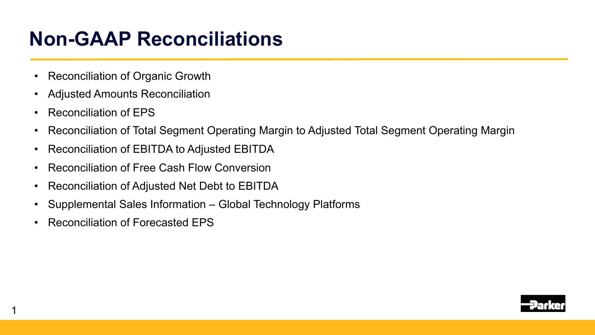# **Non-GAAP Reconciliations**

- Reconciliation of Organic Growth
- Adjusted Amounts Reconciliation
- Reconciliation of EPS

1

- Reconciliation of Total Segment Operating Margin to Adjusted Total Segment Operating Margin
- Reconciliation of EBITDA to Adjusted EBITDA
- Reconciliation of Free Cash Flow Conversion
- Reconciliation of Adjusted Net Debt to EBITDA
- Supplemental Sales Information Global Technology Platforms
- Reconciliation of Forecasted EPS

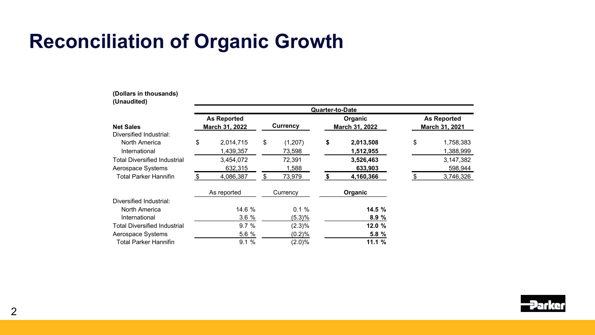# **Reconciliation of Organic Growth**

### **(Dollars in thousands)**

**(Unaudited)**

| (Unduultou)                         |                        |                |    |                 |    |                    |    |                |  |  |  |  |
|-------------------------------------|------------------------|----------------|----|-----------------|----|--------------------|----|----------------|--|--|--|--|
|                                     | <b>Quarter-to-Date</b> |                |    |                 |    |                    |    |                |  |  |  |  |
|                                     | <b>As Reported</b>     |                |    |                 |    | <b>As Reported</b> |    |                |  |  |  |  |
| <b>Net Sales</b>                    |                        | March 31, 2022 |    | <b>Currency</b> |    | March 31, 2022     |    | March 31, 2021 |  |  |  |  |
| Diversified Industrial:             |                        |                |    |                 |    |                    |    |                |  |  |  |  |
| North America                       | \$                     | 2,014,715      | \$ | (1,207)         | \$ | 2,013,508          | \$ | 1,758,383      |  |  |  |  |
| International                       |                        | 1,439,357      |    | 73,598          |    | 1,512,955          |    | 1,388,999      |  |  |  |  |
| <b>Total Diversified Industrial</b> |                        | 3,454,072      |    | 72,391          |    | 3,526,463          |    | 3,147,382      |  |  |  |  |
| Aerospace Systems                   |                        | 632,315        |    | 1,588           |    | 633,903            |    | 598,944        |  |  |  |  |
| Total Parker Hannifin               | \$                     | 4,086,387      | S  | 73,979          | S  | 4,160,366          | \$ | 3,746,326      |  |  |  |  |
|                                     |                        | As reported    |    | Currency        |    | Organic            |    |                |  |  |  |  |
| Diversified Industrial:             |                        |                |    |                 |    |                    |    |                |  |  |  |  |
| North America                       |                        | 14.6 %         |    | 0.1%            |    | 14.5 %             |    |                |  |  |  |  |
| International                       |                        | 3.6%           |    | (5.3)%          |    | 8.9%               |    |                |  |  |  |  |
| <b>Total Diversified Industrial</b> |                        | 9.7%           |    | $(2.3)\%$       |    | 12.0 %             |    |                |  |  |  |  |
| Aerospace Systems                   |                        | 5.6 %          |    | (0.2)%          |    | 5.8 %              |    |                |  |  |  |  |
| Total Parker Hannifin               |                        | 9.1%           |    | $(2.0)\%$       |    | 11.1 %             |    |                |  |  |  |  |

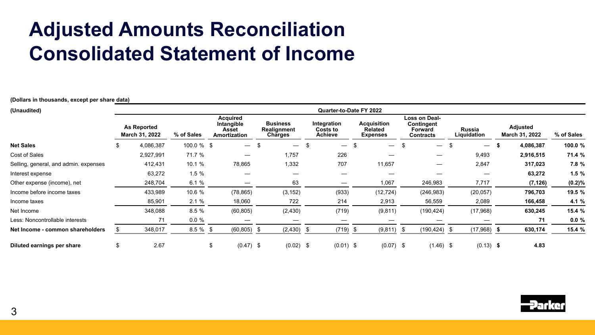# **Adjusted Amounts Reconciliation Consolidated Statement of Income**

**(Dollars in thousands, except per share data)**

| (Unaudited)                           | Quarter-to-Date FY 2022 |                                      |             |                                                               |      |                                           |  |                                           |  |                                                         |  |                                                            |                       |                                          |            |
|---------------------------------------|-------------------------|--------------------------------------|-------------|---------------------------------------------------------------|------|-------------------------------------------|--|-------------------------------------------|--|---------------------------------------------------------|--|------------------------------------------------------------|-----------------------|------------------------------------------|------------|
|                                       |                         | <b>As Reported</b><br>March 31, 2022 | % of Sales  | <b>Acquired</b><br>Intangible<br>Asset<br><b>Amortization</b> |      | <b>Business</b><br>Realignment<br>Charges |  | Integration<br>Costs to<br><b>Achieve</b> |  | <b>Acquisition</b><br><b>Related</b><br><b>Expenses</b> |  | Loss on Deal-<br>Contingent<br><b>Forward</b><br>Contracts | Russia<br>Liquidation | <b>Adjusted</b><br><b>March 31, 2022</b> | % of Sales |
| <b>Net Sales</b>                      |                         | 4,086,387                            | 100.0 % \$  | $\overline{\phantom{a}}$                                      | -\$  | $\overline{\phantom{m}}$                  |  |                                           |  | $\overline{\phantom{m}}$                                |  |                                                            |                       | 4,086,387                                | 100.0 %    |
| Cost of Sales                         |                         | 2,927,991                            | 71.7 %      | —                                                             |      | 1,757                                     |  | 226                                       |  |                                                         |  |                                                            | 9,493                 | 2,916,515                                | 71.4 %     |
| Selling, general, and admin. expenses |                         | 412,431                              | 10.1 %      | 78,865                                                        |      | 1,332                                     |  | 707                                       |  | 11,657                                                  |  |                                                            | 2,847                 | 317,023                                  | 7.8 %      |
| Interest expense                      |                         | 63,272                               | 1.5%        |                                                               |      |                                           |  |                                           |  |                                                         |  |                                                            | —                     | 63,272                                   | 1.5%       |
| Other expense (income), net           |                         | 248,704                              | 6.1%        |                                                               |      | 63                                        |  |                                           |  | 1,067                                                   |  | 246,983                                                    | 7,717                 | (7, 126)                                 | (0.2)%     |
| Income before income taxes            |                         | 433,989                              | 10.6 %      | (78, 865)                                                     |      | (3, 152)                                  |  | (933)                                     |  | (12, 724)                                               |  | (246, 983)                                                 | (20, 057)             | 796,703                                  | 19.5 %     |
| Income taxes                          |                         | 85,901                               | 2.1%        | 18,060                                                        |      | 722                                       |  | 214                                       |  | 2,913                                                   |  | 56,559                                                     | 2,089                 | 166,458                                  | 4.1 %      |
| Net Income                            |                         | 348,088                              | 8.5%        | (60, 805)                                                     |      | (2, 430)                                  |  | (719)                                     |  | (9,811)                                                 |  | (190, 424)                                                 | (17,968)              | 630,245                                  | 15.4 %     |
| Less: Noncontrollable interests       |                         | 71                                   | $0.0 \%$    |                                                               |      |                                           |  |                                           |  |                                                         |  |                                                            |                       | 71                                       | 0.0%       |
| Net Income - common shareholders      |                         | 348,017                              | $8.5 \%$ \$ | $(60, 805)$ \$                                                |      | $(2,430)$ \$                              |  | $(719)$ \$                                |  | $(9,811)$ \$                                            |  | $(190, 424)$ \$                                            | $(17,968)$ \$         | 630,174                                  | 15.4 %     |
| Diluted earnings per share            |                         | 2.67                                 |             | (0.47)<br>\$                                                  | - \$ | $(0.02)$ \$                               |  | $(0.01)$ \$                               |  | $(0.07)$ \$                                             |  | $(1.46)$ \$                                                | $(0.13)$ \$           | 4.83                                     |            |

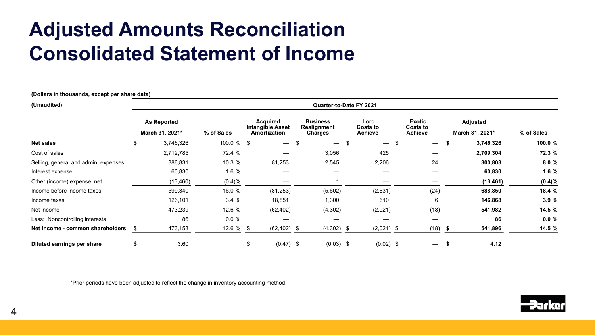# **Adjusted Amounts Reconciliation Consolidated Statement of Income**

**(Dollars in thousands, except per share data)**

| (Unaudited)                          | Quarter-to-Date FY 2021 |                                       |               |    |                                                            |     |                                                  |    |                                    |    |                                             |                                    |           |            |
|--------------------------------------|-------------------------|---------------------------------------|---------------|----|------------------------------------------------------------|-----|--------------------------------------------------|----|------------------------------------|----|---------------------------------------------|------------------------------------|-----------|------------|
|                                      |                         | <b>As Reported</b><br>March 31, 2021* | % of Sales    |    | <b>Acquired</b><br><b>Intangible Asset</b><br>Amortization |     | <b>Business</b><br>Realignment<br><b>Charges</b> |    | Lord<br>Costs to<br><b>Achieve</b> |    | <b>Exotic</b><br>Costs to<br><b>Achieve</b> | <b>Adjusted</b><br>March 31, 2021* |           | % of Sales |
| <b>Net sales</b>                     | S                       | 3,746,326                             | $100.0 \%$ \$ |    | $\overline{\phantom{m}}$                                   | -\$ | $\qquad \qquad -$                                | \$ | $\qquad \qquad -$                  | \$ | $\qquad \qquad -$                           | £.                                 | 3,746,326 | 100.0 %    |
| Cost of sales                        |                         | 2,712,785                             | 72.4 %        |    |                                                            |     | 3,056                                            |    | 425                                |    | —                                           |                                    | 2,709,304 | 72.3 %     |
| Selling, general and admin. expenses |                         | 386,831                               | 10.3 %        |    | 81,253                                                     |     | 2,545                                            |    | 2,206                              |    | 24                                          |                                    | 300,803   | 8.0%       |
| Interest expense                     |                         | 60,830                                | 1.6%          |    |                                                            |     |                                                  |    |                                    |    |                                             |                                    | 60,830    | 1.6%       |
| Other (income) expense, net          |                         | (13, 460)                             | (0.4)%        |    |                                                            |     |                                                  |    |                                    |    |                                             |                                    | (13, 461) | $(0.4)\%$  |
| Income before income taxes           |                         | 599,340                               | 16.0 %        |    | (81, 253)                                                  |     | (5,602)                                          |    | (2,631)                            |    | (24)                                        |                                    | 688,850   | 18.4 %     |
| Income taxes                         |                         | 126,101                               | 3.4%          |    | 18,851                                                     |     | 1,300                                            |    | 610                                |    | 6                                           |                                    | 146,868   | 3.9 %      |
| Net income                           |                         | 473,239                               | 12.6 %        |    | (62, 402)                                                  |     | (4, 302)                                         |    | (2,021)                            |    | (18)                                        |                                    | 541,982   | 14.5 %     |
| Less: Noncontrolling interests       |                         | 86                                    | $0.0 \%$      |    | —                                                          |     |                                                  |    | —                                  |    | —                                           |                                    | 86        | $0.0 \%$   |
| Net income - common shareholders     | S                       | 473,153                               | 12.6 %        | \$ | $(62, 402)$ \$                                             |     | $(4,302)$ \$                                     |    | $(2,021)$ \$                       |    | $(18)$ \$                                   |                                    | 541,896   | 14.5 %     |
| Diluted earnings per share           |                         | 3.60                                  |               | \$ | $(0.47)$ \$                                                |     | $(0.03)$ \$                                      |    | $(0.02)$ \$                        |    | $\overline{\phantom{0}}$                    |                                    | 4.12      |            |

\*Prior periods have been adjusted to reflect the change in inventory accounting method

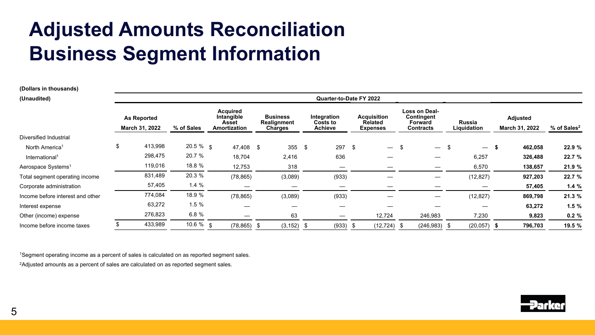# **Adjusted Amounts Reconciliation Business Segment Information**

| (Dollars in thousands)               |               |              |                                                               |                |                                                  |                                           |                         |                                                  |                |                                                            |                               |                       |                          |                                   |                         |        |
|--------------------------------------|---------------|--------------|---------------------------------------------------------------|----------------|--------------------------------------------------|-------------------------------------------|-------------------------|--------------------------------------------------|----------------|------------------------------------------------------------|-------------------------------|-----------------------|--------------------------|-----------------------------------|-------------------------|--------|
| (Unaudited)                          |               |              |                                                               |                |                                                  |                                           | Quarter-to-Date FY 2022 |                                                  |                |                                                            |                               |                       |                          |                                   |                         |        |
| <b>As Reported</b><br>March 31, 2022 | % of Sales    |              | <b>Acquired</b><br>Intangible<br>Asset<br><b>Amortization</b> |                | <b>Business</b><br>Realignment<br><b>Charges</b> | Integration<br>Costs to<br><b>Achieve</b> |                         | Acquisition<br><b>Related</b><br><b>Expenses</b> |                | Loss on Deal-<br>Contingent<br>Forward<br><b>Contracts</b> |                               | Russia<br>Liquidation |                          | <b>Adjusted</b><br>March 31, 2022 | % of Sales <sup>2</sup> |        |
| Diversified Industrial               |               |              |                                                               |                |                                                  |                                           |                         |                                                  |                |                                                            |                               |                       |                          |                                   |                         |        |
| North America <sup>1</sup>           | \$<br>413,998 | $20.5 \%$ \$ |                                                               | 47,408 \$      |                                                  | $355$ \$                                  | 297                     | \$                                               | $-$ \$         |                                                            | $\overbrace{\phantom{aaaaa}}$ | \$                    | $\overline{\phantom{0}}$ | - \$                              | 462,058                 | 22.9 % |
| International <sup>1</sup>           | 298,475       | 20.7 %       |                                                               | 18,704         |                                                  | 2,416                                     | 636                     |                                                  |                |                                                            | —                             |                       | 6,257                    |                                   | 326,488                 | 22.7 % |
| Aerospace Systems <sup>1</sup>       | 119,016       | 18.8 %       |                                                               | 12,753         |                                                  | 318                                       |                         |                                                  |                |                                                            |                               |                       | 6,570                    |                                   | 138,657                 | 21.9 % |
| Total segment operating income       | 831,489       | 20.3 %       |                                                               | (78, 865)      |                                                  | (3,089)                                   | (933)                   |                                                  |                |                                                            |                               |                       | (12, 827)                |                                   | 927,203                 | 22.7 % |
| Corporate administration             | 57,405        | 1.4%         |                                                               |                |                                                  | –                                         |                         |                                                  |                |                                                            |                               |                       |                          |                                   | 57,405                  | 1.4%   |
| Income before interest and other     | 774,084       | 18.9 %       |                                                               | (78, 865)      |                                                  | (3,089)                                   | (933)                   |                                                  |                |                                                            | $\overline{\phantom{0}}$      |                       | (12, 827)                |                                   | 869,798                 | 21.3 % |
| Interest expense                     | 63,272        | 1.5%         |                                                               |                |                                                  |                                           |                         |                                                  |                |                                                            |                               |                       |                          |                                   | 63,272                  | 1.5%   |
| Other (income) expense               | 276,823       | 6.8 %        |                                                               | —              |                                                  | 63                                        |                         |                                                  | 12,724         |                                                            | 246,983                       |                       | 7,230                    |                                   | 9,823                   | 0.2%   |
| Income before income taxes           | 433,989       | 10.6 $%$ \$  |                                                               | $(78, 865)$ \$ |                                                  | $(3, 152)$ \$                             | (933)                   | $\frac{1}{2}$                                    | $(12, 724)$ \$ |                                                            | $(246,983)$ \$                |                       | (20, 057)                |                                   | 796,703                 | 19.5 % |

1Segment operating income as a percent of sales is calculated on as reported segment sales.

<sup>2</sup>Adjusted amounts as a percent of sales are calculated on as reported segment sales.

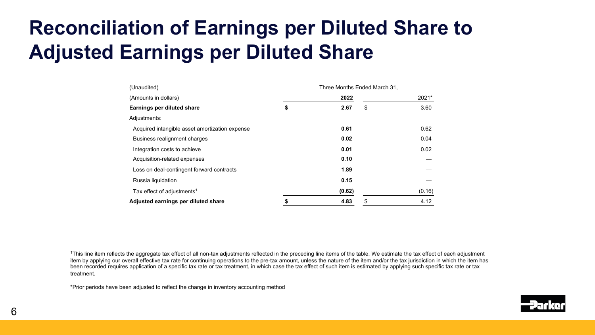# **Reconciliation of Earnings per Diluted Share to Adjusted Earnings per Diluted Share**

| (Unaudited)                                    |    | Three Months Ended March 31, |            |
|------------------------------------------------|----|------------------------------|------------|
| (Amounts in dollars)                           |    | 2022                         | 2021*      |
| Earnings per diluted share                     | \$ | 2.67                         | \$<br>3.60 |
| Adjustments:                                   |    |                              |            |
| Acquired intangible asset amortization expense |    | 0.61                         | 0.62       |
| Business realignment charges                   |    | 0.02                         | 0.04       |
| Integration costs to achieve                   |    | 0.01                         | 0.02       |
| Acquisition-related expenses                   |    | 0.10                         |            |
| Loss on deal-contingent forward contracts      |    | 1.89                         |            |
| Russia liquidation                             |    | 0.15                         |            |
| Tax effect of adjustments <sup>1</sup>         |    | (0.62)                       | (0.16)     |
| Adjusted earnings per diluted share            | S  | 4.83                         | \$<br>4.12 |

<sup>1</sup>This line item reflects the aggregate tax effect of all non-tax adjustments reflected in the preceding line items of the table. We estimate the tax effect of each adjustment item by applying our overall effective tax rate for continuing operations to the pre-tax amount, unless the nature of the item and/or the tax jurisdiction in which the item has been recorded requires application of a specific tax rate or tax treatment, in which case the tax effect of such item is estimated by applying such specific tax rate or tax treatment.

\*Prior periods have been adjusted to reflect the change in inventory accounting method

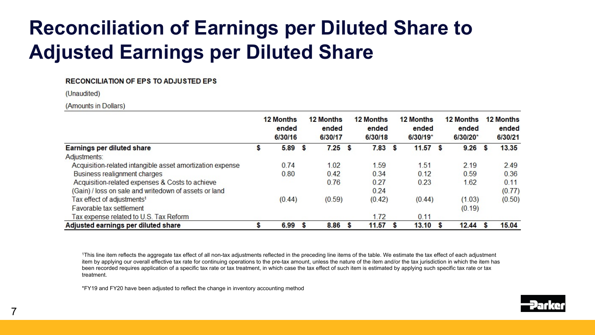# **Reconciliation of Earnings per Diluted Share to Adjusted Earnings per Diluted Share**

### **RECONCILIATION OF EPS TO ADJUSTED EPS**

(Unaudited)

(Amounts in Dollars)

|                                                           |   | <b>12 Months</b><br>ended<br>6/30/16 |   | <b>12 Months</b><br>ended<br>6/30/17 |    | <b>12 Months</b><br>ended<br>6/30/18 |   | <b>12 Months</b><br>ended<br>6/30/19* |   | <b>12 Months</b><br>ended<br>6/30/20* |          | <b>12 Months</b><br>ended<br>6/30/21 |
|-----------------------------------------------------------|---|--------------------------------------|---|--------------------------------------|----|--------------------------------------|---|---------------------------------------|---|---------------------------------------|----------|--------------------------------------|
| <b>Earnings per diluted share</b>                         | S | 5.89                                 | S | 7.25                                 | \$ | 7.83                                 | S | 11.57                                 | S | 9.26                                  | <b>S</b> | 13.35                                |
| Adjustments:                                              |   |                                      |   |                                      |    |                                      |   |                                       |   |                                       |          |                                      |
| Acquisition-related intangible asset amortization expense |   | 0.74                                 |   | 1.02                                 |    | 1.59                                 |   | 1.51                                  |   | 2.19                                  |          | 2.49                                 |
| Business realignment charges                              |   | 0.80                                 |   | 0.42                                 |    | 0.34                                 |   | 0.12                                  |   | 0.59                                  |          | 0.36                                 |
| Acquisition-related expenses & Costs to achieve           |   |                                      |   | 0.76                                 |    | 0.27                                 |   | 0.23                                  |   | 1.62                                  |          | 0.11                                 |
| (Gain) / loss on sale and writedown of assets or land     |   |                                      |   |                                      |    | 0.24                                 |   |                                       |   |                                       |          | (0.77)                               |
| Tax effect of adjustments <sup>1</sup>                    |   | (0.44)                               |   | (0.59)                               |    | (0.42)                               |   | (0.44)                                |   | (1.03)                                |          | (0.50)                               |
| Favorable tax settlement                                  |   |                                      |   |                                      |    |                                      |   |                                       |   | (0.19)                                |          |                                      |
| Tax expense related to U.S. Tax Reform                    |   |                                      |   |                                      |    | 1.72                                 |   | 0.11                                  |   |                                       |          |                                      |
| Adjusted earnings per diluted share                       |   | 6.99                                 |   | 8.86                                 | S  | 11.57                                |   | 13.10                                 |   | 12.44                                 |          | 15.04                                |

<sup>1</sup>This line item reflects the aggregate tax effect of all non-tax adjustments reflected in the preceding line items of the table. We estimate the tax effect of each adjustment item by applying our overall effective tax rate for continuing operations to the pre-tax amount, unless the nature of the item and/or the tax jurisdiction in which the item has been recorded requires application of a specific tax rate or tax treatment, in which case the tax effect of such item is estimated by applying such specific tax rate or tax treatment.

\*FY19 and FY20 have been adjusted to reflect the change in inventory accounting method

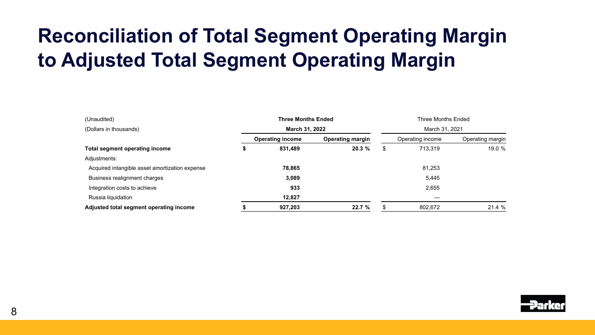# **Reconciliation of Total Segment Operating Margin to Adjusted Total Segment Operating Margin**

| (Unaudited)                                    | <b>Three Months Ended</b> |                         | <b>Three Months Ended</b> |                  |  |  |  |  |  |  |
|------------------------------------------------|---------------------------|-------------------------|---------------------------|------------------|--|--|--|--|--|--|
| (Dollars in thousands)                         | <b>March 31, 2022</b>     |                         | March 31, 2021            |                  |  |  |  |  |  |  |
|                                                | <b>Operating income</b>   | <b>Operating margin</b> | Operating income          | Operating margin |  |  |  |  |  |  |
| Total segment operating income                 | 831,489                   | 20.3%                   | 713,319                   | 19.0 %           |  |  |  |  |  |  |
| Adjustments:                                   |                           |                         |                           |                  |  |  |  |  |  |  |
| Acquired intangible asset amortization expense | 78,865                    |                         | 81,253                    |                  |  |  |  |  |  |  |
| Business realignment charges                   | 3,089                     |                         | 5,445                     |                  |  |  |  |  |  |  |
| Integration costs to achieve                   | 933                       |                         | 2,655                     |                  |  |  |  |  |  |  |
| Russia liquidation                             | 12,827                    |                         |                           |                  |  |  |  |  |  |  |
| Adjusted total segment operating income        | 927.203                   | 22.7%                   | 802.672                   | 21.4%            |  |  |  |  |  |  |

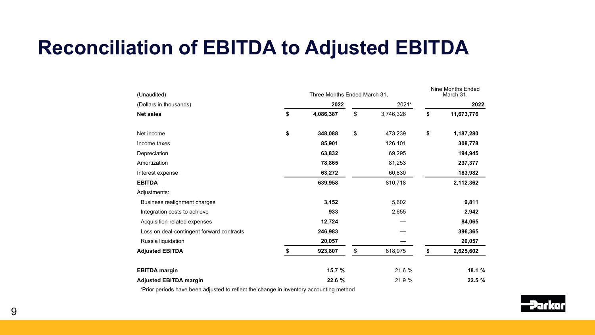## **Reconciliation of EBITDA to Adjusted EBITDA**

| (Unaudited)                               | Three Months Ended March 31, | Nine Months Ended<br>March 31, |                  |
|-------------------------------------------|------------------------------|--------------------------------|------------------|
| (Dollars in thousands)                    | 2022                         | 2021*                          | 2022             |
| <b>Net sales</b>                          | \$<br>4,086,387              | \$<br>3,746,326                | \$<br>11,673,776 |
| Net income                                | \$<br>348,088                | \$<br>473,239                  | \$<br>1,187,280  |
| Income taxes                              | 85,901                       | 126,101                        | 308,778          |
| Depreciation                              | 63,832                       | 69,295                         | 194,945          |
| Amortization                              | 78,865                       | 81,253                         | 237,377          |
| Interest expense                          | 63,272                       | 60,830                         | 183,982          |
| <b>EBITDA</b>                             | 639,958                      | 810,718                        | 2,112,362        |
| Adjustments:                              |                              |                                |                  |
| Business realignment charges              | 3,152                        | 5,602                          | 9,811            |
| Integration costs to achieve              | 933                          | 2,655                          | 2,942            |
| Acquisition-related expenses              | 12,724                       |                                | 84,065           |
| Loss on deal-contingent forward contracts | 246,983                      |                                | 396,365          |
| Russia liquidation                        | 20,057                       |                                | 20,057           |
| <b>Adjusted EBITDA</b>                    | \$<br>923,807                | \$<br>818,975                  | \$<br>2,625,602  |
| <b>EBITDA</b> margin                      | 15.7 %                       | 21.6 %                         | 18.1 %           |
| <b>Adjusted EBITDA margin</b>             | 22.6 %                       | 21.9 %                         | 22.5 %           |

\*Prior periods have been adjusted to reflect the change in inventory accounting method

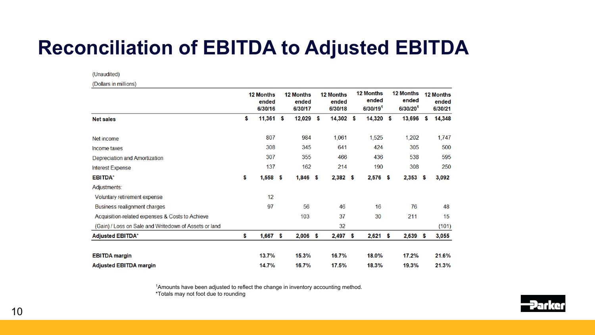## **Reconciliation of EBITDA to Adjusted EBITDA**

(Unaudited)

(Dollars in millions)

|                                                       | <b>12 Months</b><br>ended<br>6/30/16 | 12 Months<br>ended<br>6/30/17 | <b>12 Months</b><br>ended<br>6/30/18 | <b>12 Months</b><br>ended<br>6/30/191 | <b>12 Months</b><br>ended<br>6/30/201 | <b>12 Months</b><br>ended<br>6/30/21 |
|-------------------------------------------------------|--------------------------------------|-------------------------------|--------------------------------------|---------------------------------------|---------------------------------------|--------------------------------------|
| <b>Net sales</b>                                      | \$<br>11,361                         | \$<br>$12,029$ \$             | 14,302 \$                            | 14,320                                | \$<br>13,696                          | \$<br>14,348                         |
|                                                       |                                      |                               |                                      |                                       |                                       |                                      |
| Net income                                            | 807                                  | 984                           | 1,061                                | 1,525                                 | 1,202                                 | 1,747                                |
| Income taxes                                          | 308                                  | 345                           | 641                                  | 424                                   | 305                                   | 500                                  |
| Depreciation and Amortization                         | 307                                  | 355                           | 466                                  | 436                                   | 538                                   | 595                                  |
| <b>Interest Expense</b>                               | 137                                  | 162                           | 214                                  | 190                                   | 308                                   | 250                                  |
| <b>EBITDA*</b>                                        | \$<br>1,558                          | \$<br>1,846                   | \$<br>$2,382$ \$                     | $2,576$ \$                            | 2,353                                 | \$<br>3,092                          |
| Adjustments:                                          |                                      |                               |                                      |                                       |                                       |                                      |
| Voluntary retirement expense                          | 12                                   |                               |                                      |                                       |                                       |                                      |
| <b>Business realignment charges</b>                   | 97                                   | 56                            | 46                                   | 16                                    | 76                                    | 48                                   |
| Acquisition-related expenses & Costs to Achieve       |                                      | 103                           | 37                                   | 30                                    | 211                                   | 15                                   |
| (Gain) / Loss on Sale and Writedown of Assets or land |                                      |                               | 32                                   |                                       |                                       | (101)                                |
| <b>Adjusted EBITDA*</b>                               | \$<br>1,667                          | \$<br>2,006                   | \$<br>$2,497$ \$                     | 2,621                                 | \$<br>2,639                           | \$<br>3,055                          |
| <b>EBITDA</b> margin                                  | 13.7%                                | 15.3%                         | 16.7%                                | 18.0%                                 | 17.2%                                 | 21.6%                                |
| <b>Adjusted EBITDA margin</b>                         | 14.7%                                | 16.7%                         | 17.5%                                | 18.3%                                 | 19.3%                                 | 21.3%                                |

<sup>1</sup>Amounts have been adjusted to reflect the change in inventory accounting method. \*Totals may not foot due to rounding

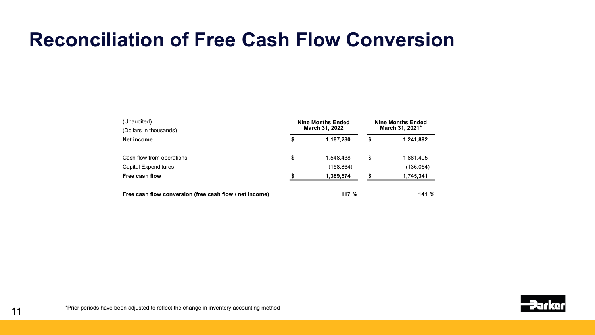## **Reconciliation of Free Cash Flow Conversion**

| (Unaudited)                                             | <b>Nine Months Ended</b> | <b>Nine Months Ended</b><br>March 31, 2021* |           |  |  |  |
|---------------------------------------------------------|--------------------------|---------------------------------------------|-----------|--|--|--|
| (Dollars in thousands)                                  | <b>March 31, 2022</b>    |                                             |           |  |  |  |
| Net income                                              | \$<br>1,187,280          | \$                                          | 1,241,892 |  |  |  |
| Cash flow from operations                               | \$<br>1.548.438          | \$                                          | 1,881,405 |  |  |  |
| Capital Expenditures                                    | (158,864)                |                                             | (136,064) |  |  |  |
| Free cash flow                                          | 1,389,574                | S                                           | 1,745,341 |  |  |  |
| Free cash flow conversion (free cash flow / net income) | 117 %                    |                                             | 141 %     |  |  |  |

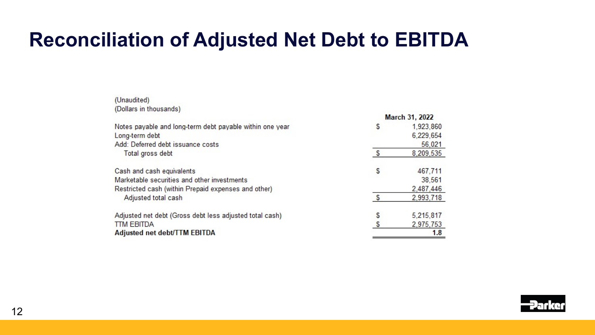## **Reconciliation of Adjusted Net Debt to EBITDA**

| (Unaudited)                                              |    |                |
|----------------------------------------------------------|----|----------------|
| (Dollars in thousands)                                   |    |                |
|                                                          |    | March 31, 2022 |
| Notes payable and long-term debt payable within one year | S  | 1,923,860      |
| Long-term debt                                           |    | 6,229,654      |
| Add: Deferred debt issuance costs                        |    | 56,021         |
| Total gross debt                                         | \$ | 8,209,535      |
| Cash and cash equivalents                                | S  | 467,711        |
| Marketable securities and other investments              |    | 38,561         |
| Restricted cash (within Prepaid expenses and other)      |    | 2,487,446      |
| Adjusted total cash                                      | £. | 2,993,718      |
| Adjusted net debt (Gross debt less adjusted total cash)  | S  | 5,215,817      |
| <b>TTM EBITDA</b>                                        |    | 2,975,753      |
| Adjusted net debt/TTM EBITDA                             |    | 1.8            |

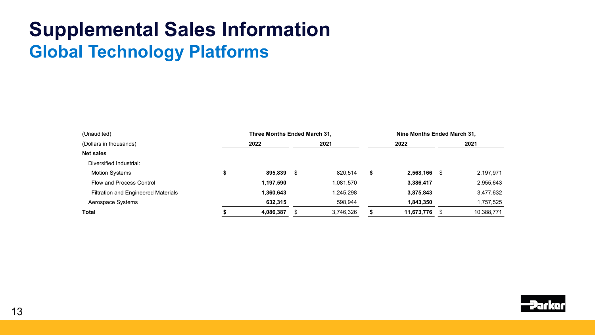## **Supplemental Sales Information Global Technology Platforms**

| (Unaudited)                                | Three Months Ended March 31, |      |           | Nine Months Ended March 31. |            |      |            |  |  |  |  |
|--------------------------------------------|------------------------------|------|-----------|-----------------------------|------------|------|------------|--|--|--|--|
| (Dollars in thousands)                     | 2022                         |      | 2021      |                             | 2022       |      | 2021       |  |  |  |  |
| <b>Net sales</b>                           |                              |      |           |                             |            |      |            |  |  |  |  |
| Diversified Industrial:                    |                              |      |           |                             |            |      |            |  |  |  |  |
| <b>Motion Systems</b>                      | 895.839                      | - \$ | 820.514   |                             | 2,568,166  | - \$ | 2,197,971  |  |  |  |  |
| Flow and Process Control                   | 1,197,590                    |      | 1,081,570 |                             | 3,386,417  |      | 2,955,643  |  |  |  |  |
| <b>Filtration and Engineered Materials</b> | 1,360,643                    |      | ,245,298  |                             | 3,875,843  |      | 3,477,632  |  |  |  |  |
| Aerospace Systems                          | 632,315                      |      | 598,944   |                             | 1,843,350  |      | 1,757,525  |  |  |  |  |
| <b>Total</b>                               | 4.086.387                    |      | 3,746,326 |                             | 11,673,776 | S    | 10,388,771 |  |  |  |  |